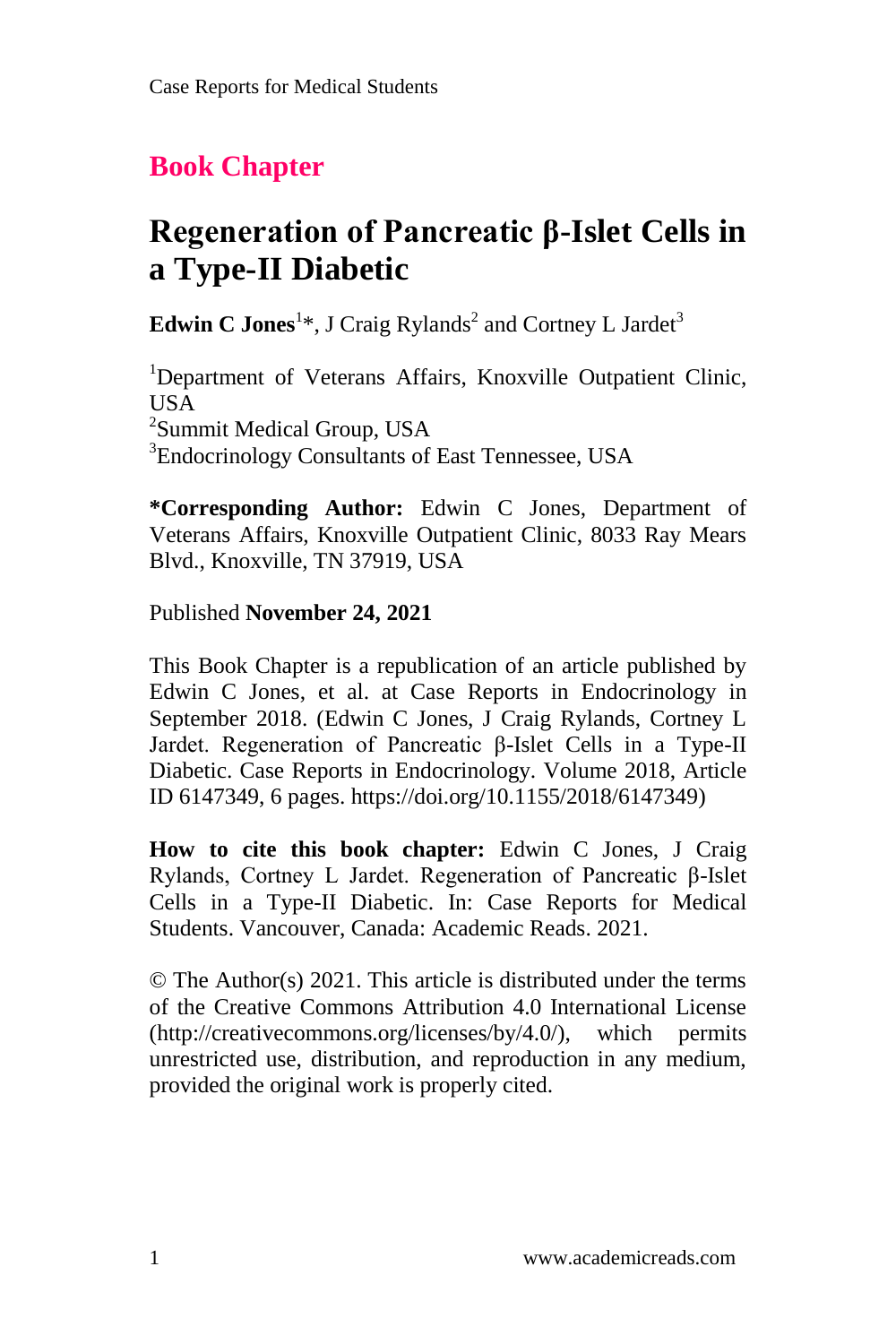# **Book Chapter**

# **Regeneration of Pancreatic β-Islet Cells in a Type-II Diabetic**

**Edwin C Jones**<sup>1</sup>\*, J Craig Rylands<sup>2</sup> and Cortney L Jardet<sup>3</sup>

<sup>1</sup>Department of Veterans Affairs, Knoxville Outpatient Clinic, USA <sup>2</sup>Summit Medical Group, USA <sup>3</sup>Endocrinology Consultants of East Tennessee, USA

**\*Corresponding Author:** Edwin C Jones, Department of Veterans Affairs, Knoxville Outpatient Clinic, 8033 Ray Mears Blvd., Knoxville, TN 37919, USA

#### Published **November 24, 2021**

This Book Chapter is a republication of an article published by Edwin C Jones, et al. at Case Reports in Endocrinology in September 2018. (Edwin C Jones, J Craig Rylands, Cortney L Jardet. Regeneration of Pancreatic β-Islet Cells in a Type-II Diabetic. Case Reports in Endocrinology. Volume 2018, Article ID 6147349, 6 pages. https://doi.org/10.1155/2018/6147349)

**How to cite this book chapter:** Edwin C Jones, J Craig Rylands, Cortney L Jardet. Regeneration of Pancreatic β-Islet Cells in a Type-II Diabetic. In: Case Reports for Medical Students. Vancouver, Canada: Academic Reads. 2021.

© The Author(s) 2021. This article is distributed under the terms of the Creative Commons Attribution 4.0 International License (http://creativecommons.org/licenses/by/4.0/), which permits unrestricted use, distribution, and reproduction in any medium, provided the original work is properly cited.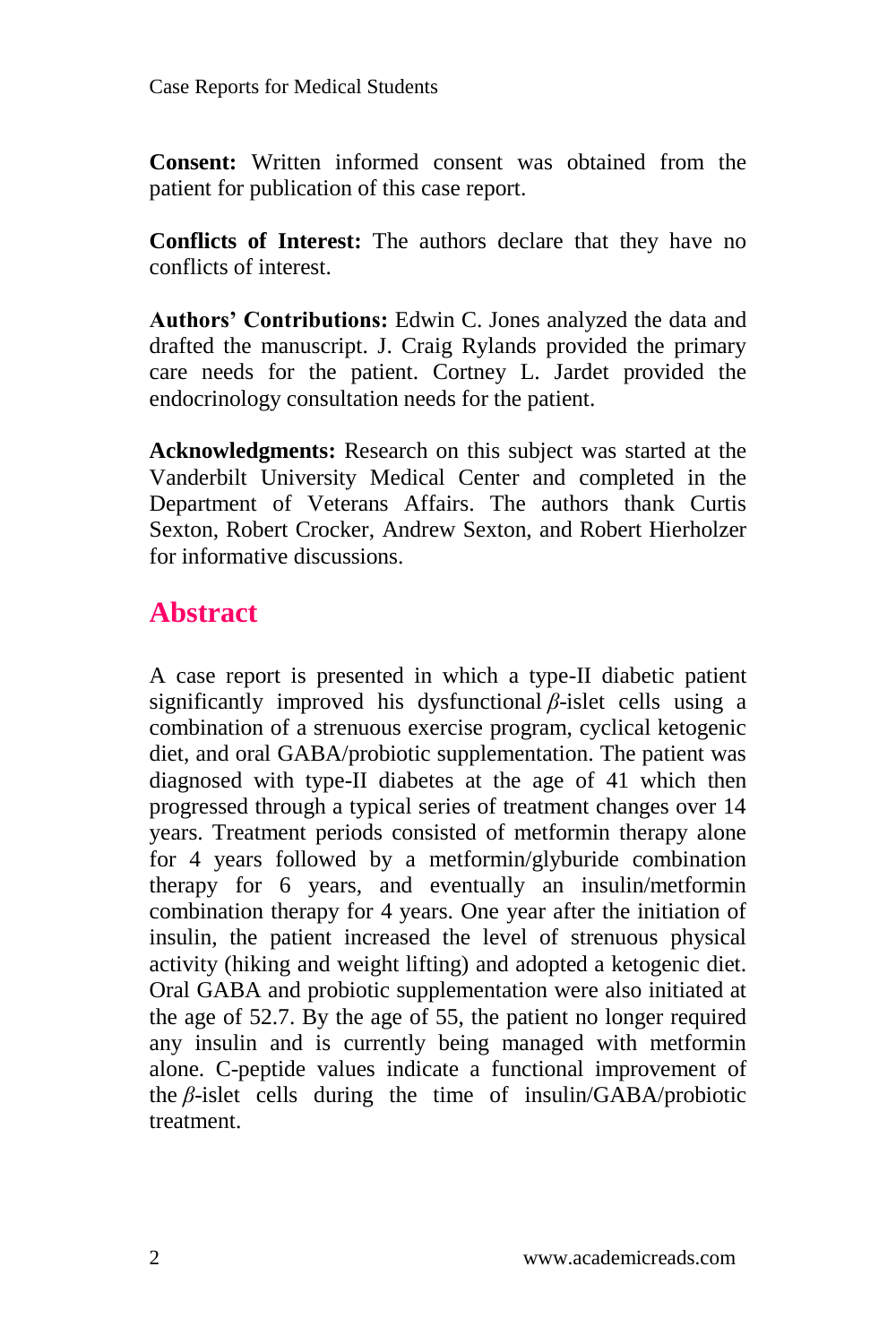**Consent:** Written informed consent was obtained from the patient for publication of this case report.

**Conflicts of Interest:** The authors declare that they have no conflicts of interest.

**Authors' Contributions:** Edwin C. Jones analyzed the data and drafted the manuscript. J. Craig Rylands provided the primary care needs for the patient. Cortney L. Jardet provided the endocrinology consultation needs for the patient.

**Acknowledgments:** Research on this subject was started at the Vanderbilt University Medical Center and completed in the Department of Veterans Affairs. The authors thank Curtis Sexton, Robert Crocker, Andrew Sexton, and Robert Hierholzer for informative discussions.

## **Abstract**

A case report is presented in which a type-II diabetic patient significantly improved his dysfunctional *β*-islet cells using a combination of a strenuous exercise program, cyclical ketogenic diet, and oral GABA/probiotic supplementation. The patient was diagnosed with type-II diabetes at the age of 41 which then progressed through a typical series of treatment changes over 14 years. Treatment periods consisted of metformin therapy alone for 4 years followed by a metformin/glyburide combination therapy for 6 years, and eventually an insulin/metformin combination therapy for 4 years. One year after the initiation of insulin, the patient increased the level of strenuous physical activity (hiking and weight lifting) and adopted a ketogenic diet. Oral GABA and probiotic supplementation were also initiated at the age of 52.7. By the age of 55, the patient no longer required any insulin and is currently being managed with metformin alone. C-peptide values indicate a functional improvement of the *β*-islet cells during the time of insulin/GABA/probiotic treatment.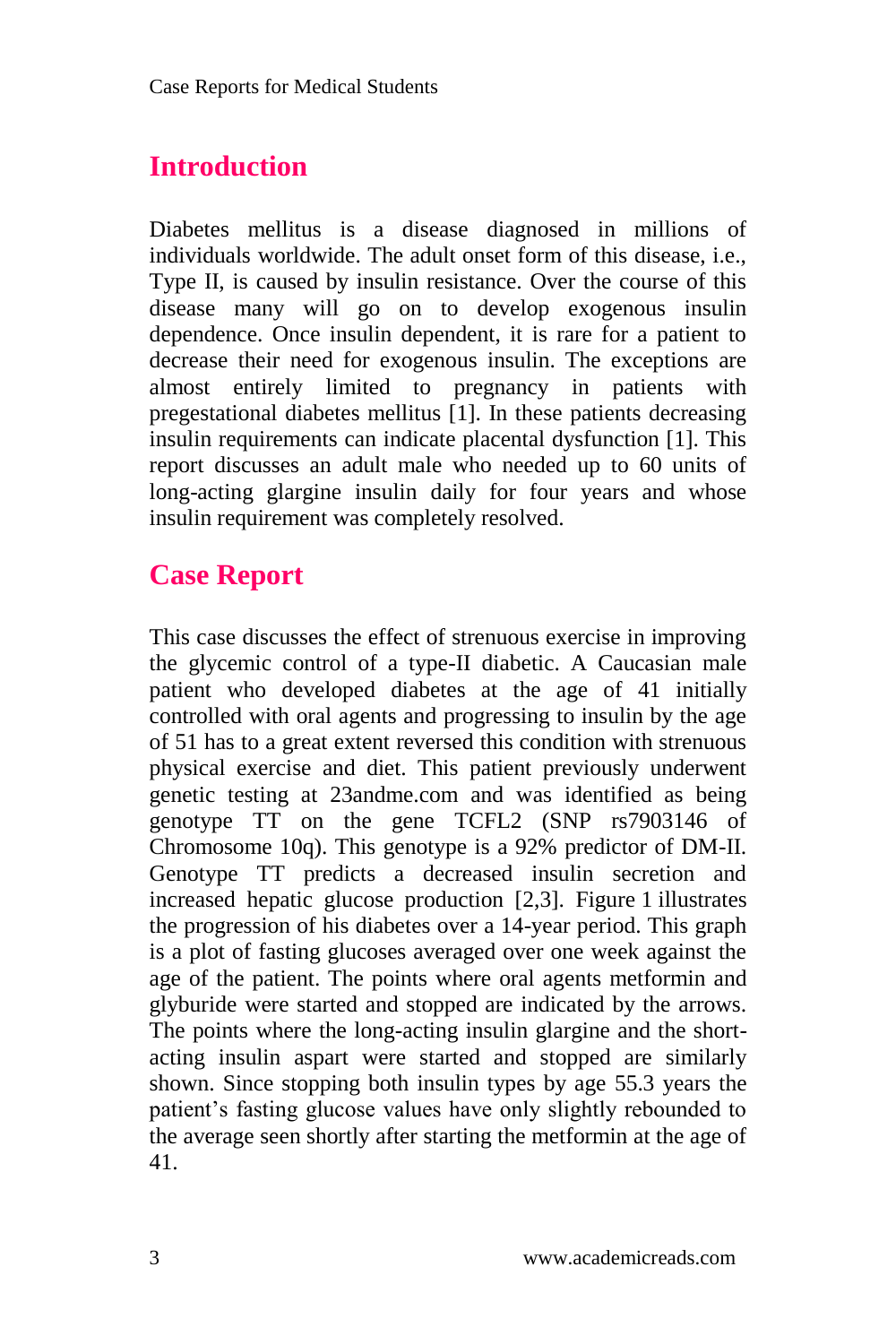## **Introduction**

Diabetes mellitus is a disease diagnosed in millions of individuals worldwide. The adult onset form of this disease, i.e., Type II, is caused by insulin resistance. Over the course of this disease many will go on to develop exogenous insulin dependence. Once insulin dependent, it is rare for a patient to decrease their need for exogenous insulin. The exceptions are almost entirely limited to pregnancy in patients with pregestational diabetes mellitus [1]. In these patients decreasing insulin requirements can indicate placental dysfunction [1]. This report discusses an adult male who needed up to 60 units of long-acting glargine insulin daily for four years and whose insulin requirement was completely resolved.

## **Case Report**

This case discusses the effect of strenuous exercise in improving the glycemic control of a type-II diabetic. A Caucasian male patient who developed diabetes at the age of 41 initially controlled with oral agents and progressing to insulin by the age of 51 has to a great extent reversed this condition with strenuous physical exercise and diet. This patient previously underwent genetic testing at 23andme.com and was identified as being genotype TT on the gene TCFL2 (SNP rs7903146 of Chromosome 10q). This genotype is a 92% predictor of DM-II. Genotype TT predicts a decreased insulin secretion and increased hepatic glucose production [2,3]. Figure 1 illustrates the progression of his diabetes over a 14-year period. This graph is a plot of fasting glucoses averaged over one week against the age of the patient. The points where oral agents metformin and glyburide were started and stopped are indicated by the arrows. The points where the long-acting insulin glargine and the shortacting insulin aspart were started and stopped are similarly shown. Since stopping both insulin types by age 55.3 years the patient's fasting glucose values have only slightly rebounded to the average seen shortly after starting the metformin at the age of 41.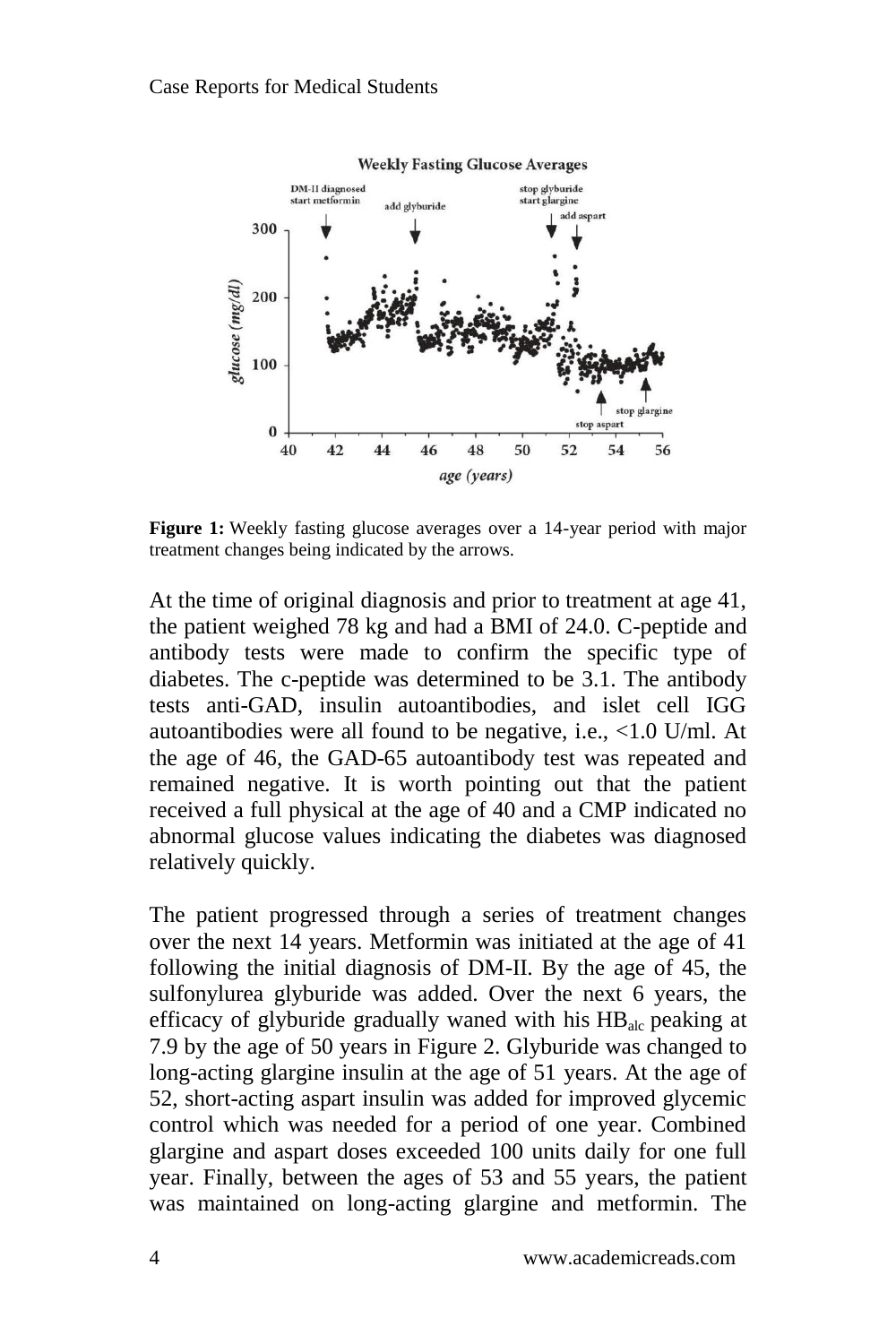

**Figure 1:** Weekly fasting glucose averages over a 14-year period with major treatment changes being indicated by the arrows.

At the time of original diagnosis and prior to treatment at age 41, the patient weighed 78 kg and had a BMI of 24.0. C-peptide and antibody tests were made to confirm the specific type of diabetes. The c-peptide was determined to be 3.1. The antibody tests anti-GAD, insulin autoantibodies, and islet cell IGG autoantibodies were all found to be negative, i.e., <1.0 U/ml. At the age of 46, the GAD-65 autoantibody test was repeated and remained negative. It is worth pointing out that the patient received a full physical at the age of 40 and a CMP indicated no abnormal glucose values indicating the diabetes was diagnosed relatively quickly.

The patient progressed through a series of treatment changes over the next 14 years. Metformin was initiated at the age of 41 following the initial diagnosis of DM-II. By the age of 45, the sulfonylurea glyburide was added. Over the next 6 years, the efficacy of glyburide gradually waned with his  $HB<sub>alc</sub>$  peaking at 7.9 by the age of 50 years in Figure 2. Glyburide was changed to long-acting glargine insulin at the age of 51 years. At the age of 52, short-acting aspart insulin was added for improved glycemic control which was needed for a period of one year. Combined glargine and aspart doses exceeded 100 units daily for one full year. Finally, between the ages of 53 and 55 years, the patient was maintained on long-acting glargine and metformin. The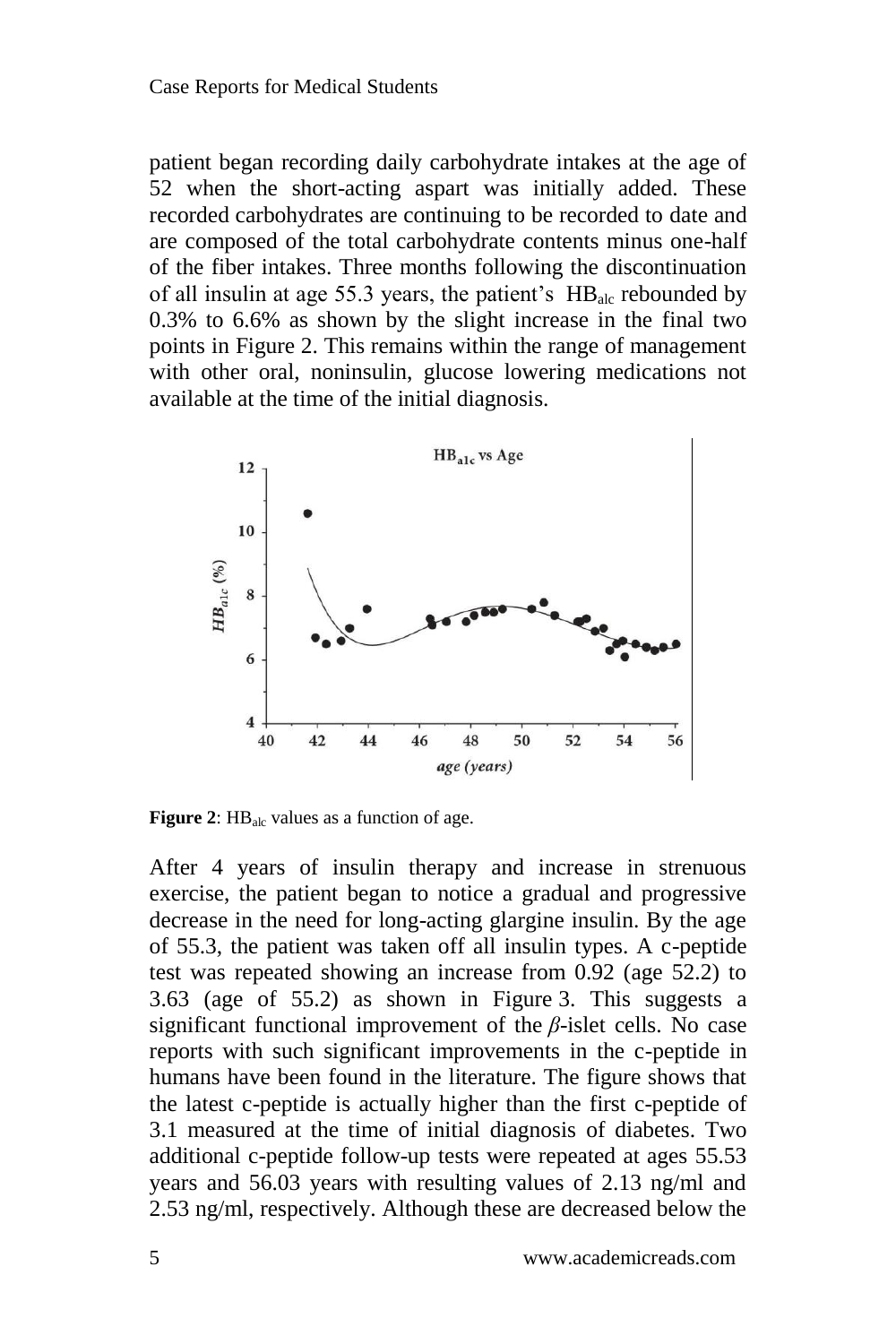patient began recording daily carbohydrate intakes at the age of 52 when the short-acting aspart was initially added. These recorded carbohydrates are continuing to be recorded to date and are composed of the total carbohydrate contents minus one-half of the fiber intakes. Three months following the discontinuation of all insulin at age 55.3 years, the patient's HB<sub>alc</sub> rebounded by 0.3% to 6.6% as shown by the slight increase in the final two points in Figure 2. This remains within the range of management with other oral, noninsulin, glucose lowering medications not available at the time of the initial diagnosis.



**Figure 2:** HB<sub>alc</sub> values as a function of age.

After 4 years of insulin therapy and increase in strenuous exercise, the patient began to notice a gradual and progressive decrease in the need for long-acting glargine insulin. By the age of 55.3, the patient was taken off all insulin types. A c-peptide test was repeated showing an increase from 0.92 (age 52.2) to 3.63 (age of 55.2) as shown in Figure 3. This suggests a significant functional improvement of the *β*-islet cells. No case reports with such significant improvements in the c-peptide in humans have been found in the literature. The figure shows that the latest c-peptide is actually higher than the first c-peptide of 3.1 measured at the time of initial diagnosis of diabetes. Two additional c-peptide follow-up tests were repeated at ages 55.53 years and 56.03 years with resulting values of 2.13 ng/ml and 2.53 ng/ml, respectively. Although these are decreased below the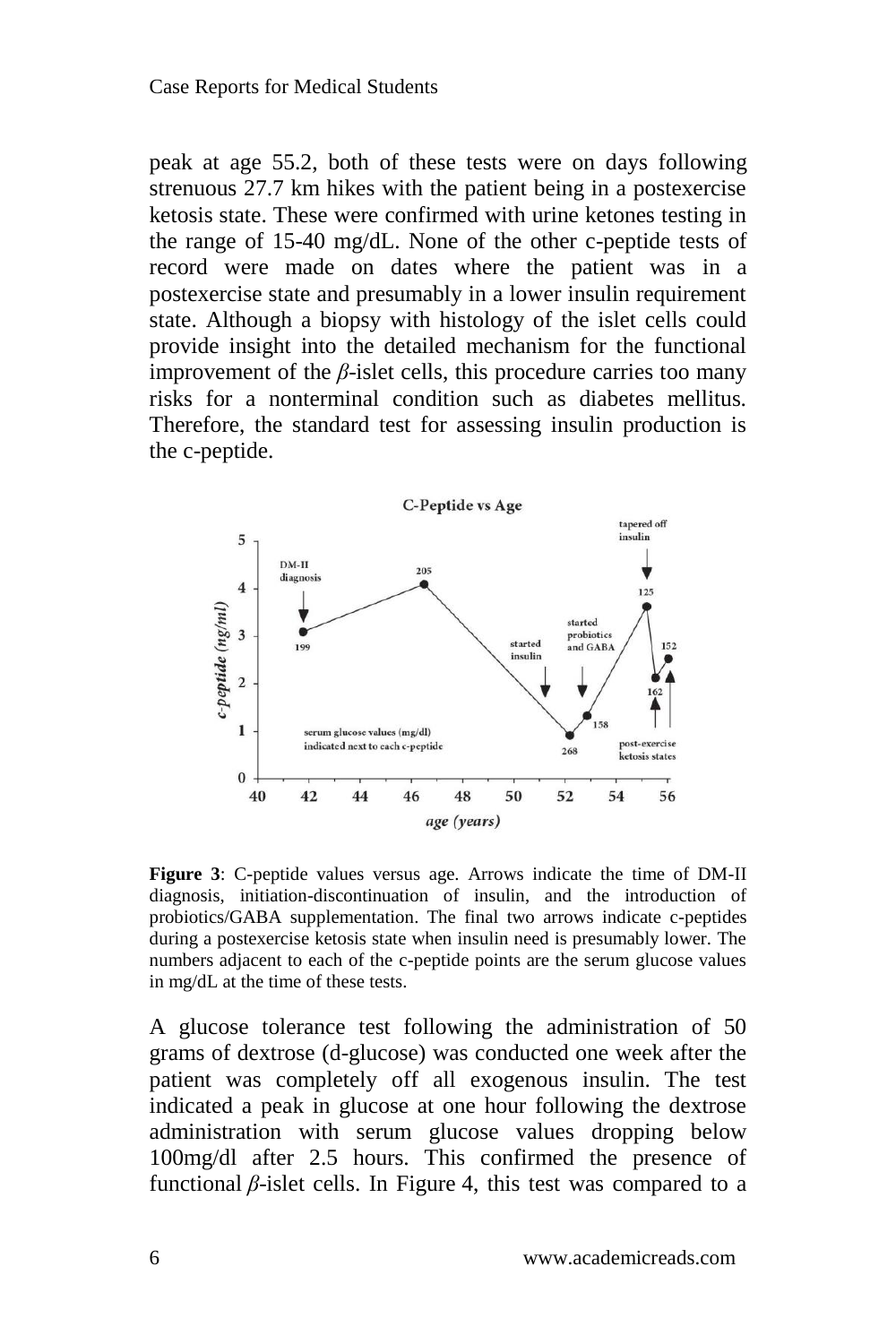peak at age 55.2, both of these tests were on days following strenuous 27.7 km hikes with the patient being in a postexercise ketosis state. These were confirmed with urine ketones testing in the range of 15-40 mg/dL. None of the other c-peptide tests of record were made on dates where the patient was in a postexercise state and presumably in a lower insulin requirement state. Although a biopsy with histology of the islet cells could provide insight into the detailed mechanism for the functional improvement of the  $\beta$ -islet cells, this procedure carries too many risks for a nonterminal condition such as diabetes mellitus. Therefore, the standard test for assessing insulin production is the c-peptide.



**Figure 3**: C-peptide values versus age. Arrows indicate the time of DM-II diagnosis, initiation-discontinuation of insulin, and the introduction of probiotics/GABA supplementation. The final two arrows indicate c-peptides during a postexercise ketosis state when insulin need is presumably lower. The numbers adjacent to each of the c-peptide points are the serum glucose values in mg/dL at the time of these tests.

A glucose tolerance test following the administration of 50 grams of dextrose (d-glucose) was conducted one week after the patient was completely off all exogenous insulin. The test indicated a peak in glucose at one hour following the dextrose administration with serum glucose values dropping below 100mg/dl after 2.5 hours. This confirmed the presence of functional *β*-islet cells. In Figure 4, this test was compared to a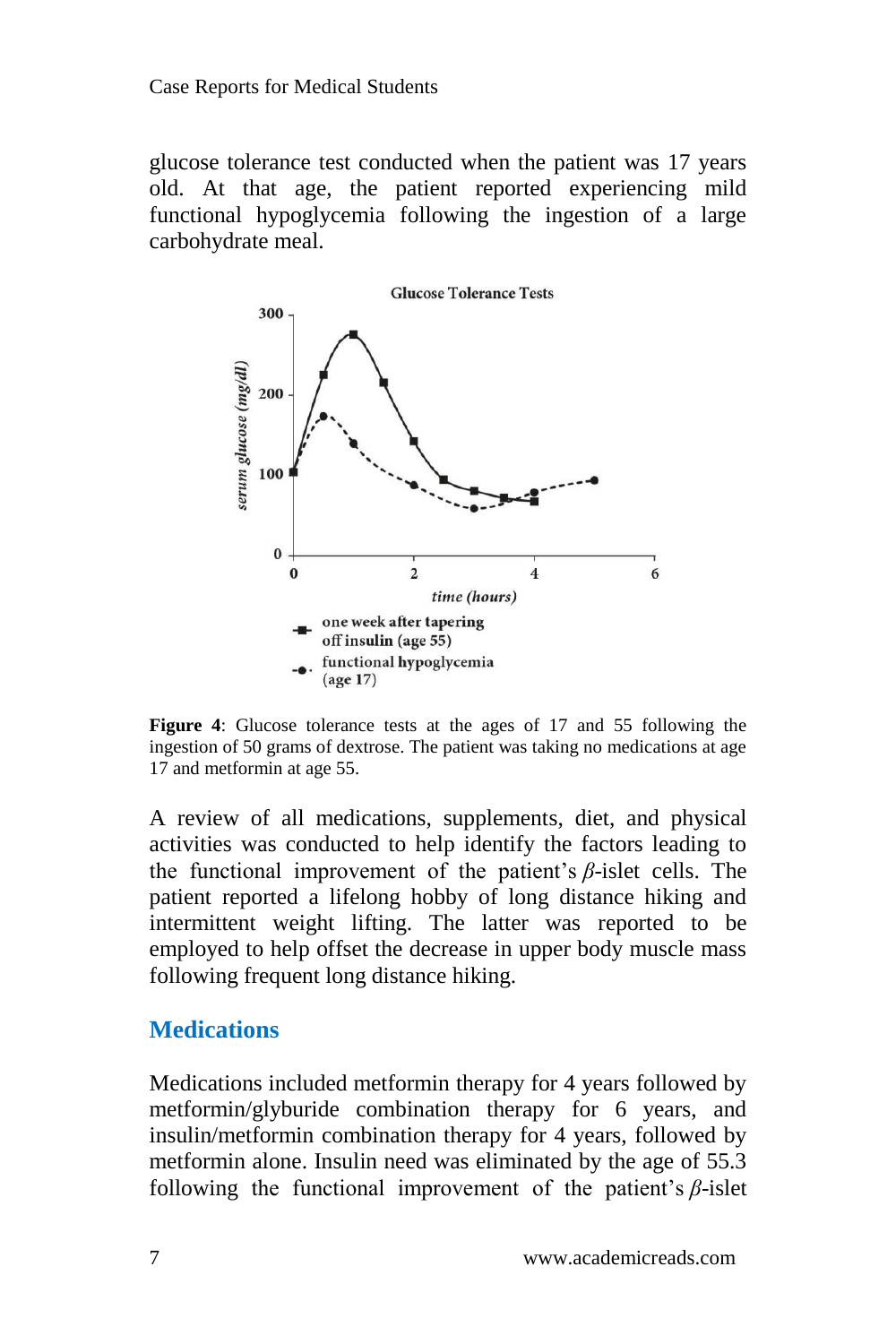glucose tolerance test conducted when the patient was 17 years old. At that age, the patient reported experiencing mild functional hypoglycemia following the ingestion of a large carbohydrate meal.



**Figure 4**: Glucose tolerance tests at the ages of 17 and 55 following the ingestion of 50 grams of dextrose. The patient was taking no medications at age 17 and metformin at age 55.

A review of all medications, supplements, diet, and physical activities was conducted to help identify the factors leading to the functional improvement of the patient's *β*-islet cells. The patient reported a lifelong hobby of long distance hiking and intermittent weight lifting. The latter was reported to be employed to help offset the decrease in upper body muscle mass following frequent long distance hiking.

#### **Medications**

Medications included metformin therapy for 4 years followed by metformin/glyburide combination therapy for 6 years, and insulin/metformin combination therapy for 4 years, followed by metformin alone. Insulin need was eliminated by the age of 55.3 following the functional improvement of the patient's *β*-islet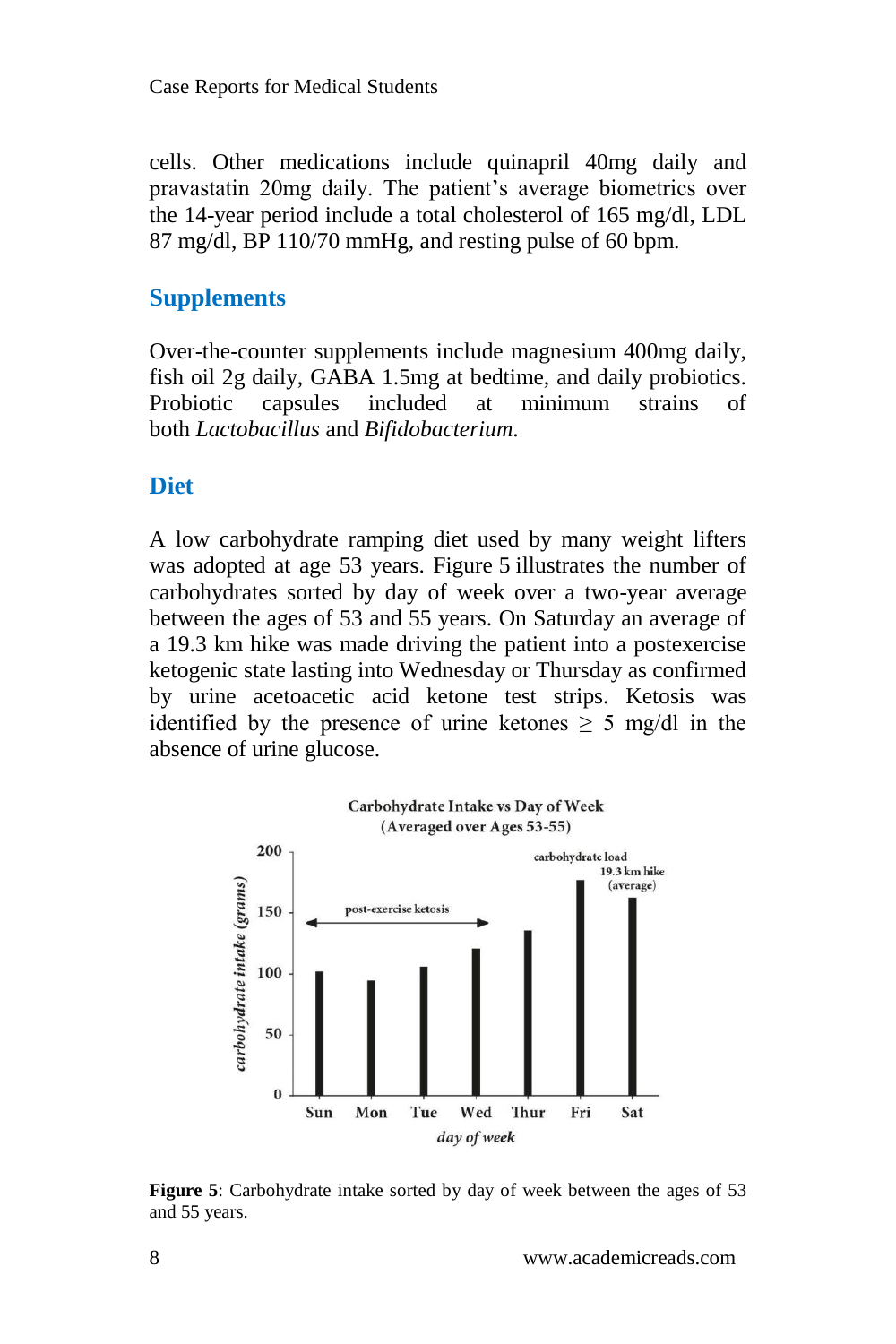Case Reports for Medical Students

cells. Other medications include quinapril 40mg daily and pravastatin 20mg daily. The patient's average biometrics over the 14-year period include a total cholesterol of 165 mg/dl, LDL 87 mg/dl, BP 110/70 mmHg, and resting pulse of 60 bpm.

#### **Supplements**

Over-the-counter supplements include magnesium 400mg daily, fish oil 2g daily, GABA 1.5mg at bedtime, and daily probiotics. Probiotic capsules included at minimum strains of both *Lactobacillus* and *Bifidobacterium*.

#### **Diet**

A low carbohydrate ramping diet used by many weight lifters was adopted at age 53 years. Figure 5 illustrates the number of carbohydrates sorted by day of week over a two-year average between the ages of 53 and 55 years. On Saturday an average of a 19.3 km hike was made driving the patient into a postexercise ketogenic state lasting into Wednesday or Thursday as confirmed by urine acetoacetic acid ketone test strips. Ketosis was identified by the presence of urine ketones  $\geq$  5 mg/dl in the absence of urine glucose.



**Figure 5**: Carbohydrate intake sorted by day of week between the ages of 53 and 55 years.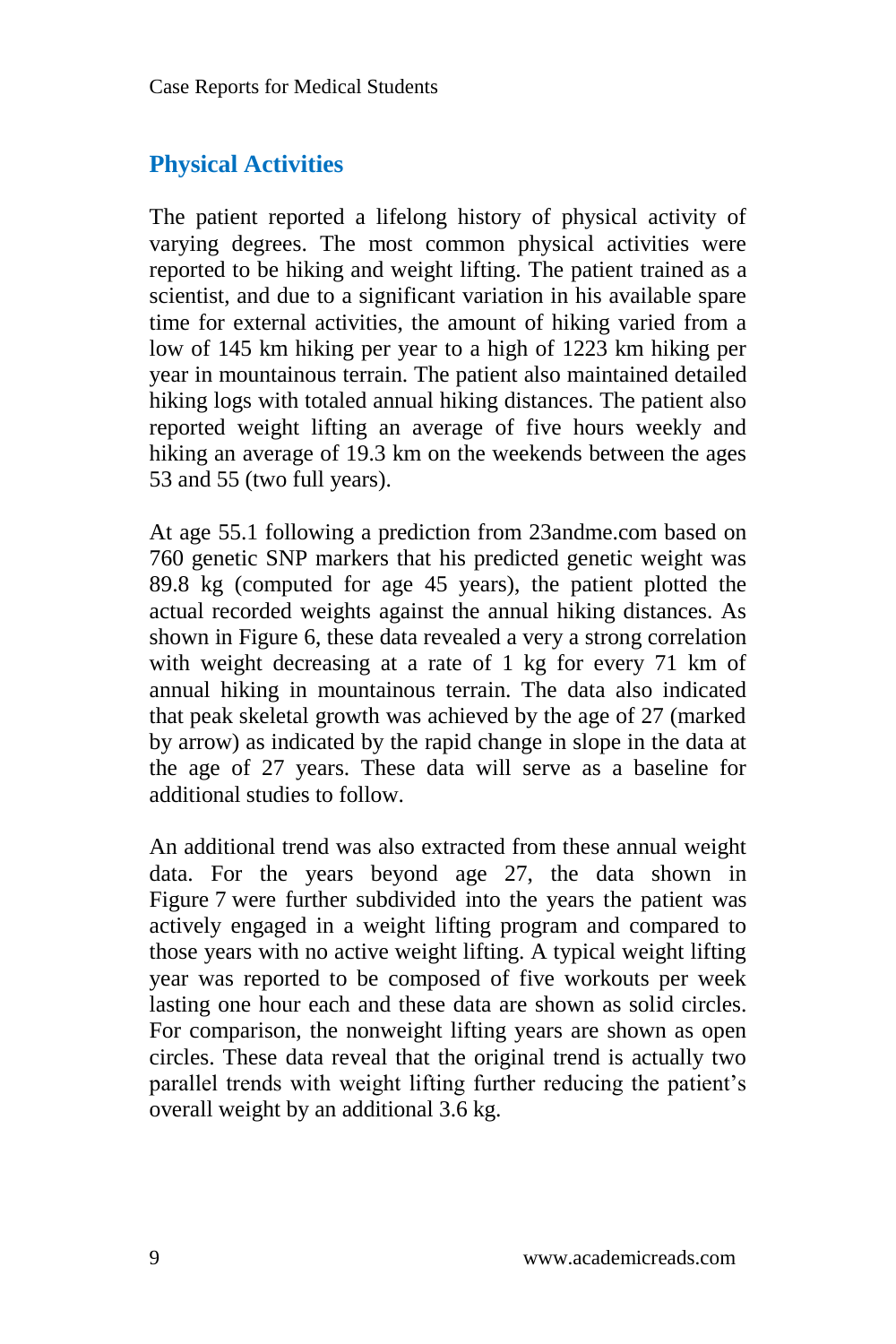### **Physical Activities**

The patient reported a lifelong history of physical activity of varying degrees. The most common physical activities were reported to be hiking and weight lifting. The patient trained as a scientist, and due to a significant variation in his available spare time for external activities, the amount of hiking varied from a low of 145 km hiking per year to a high of 1223 km hiking per year in mountainous terrain. The patient also maintained detailed hiking logs with totaled annual hiking distances. The patient also reported weight lifting an average of five hours weekly and hiking an average of 19.3 km on the weekends between the ages 53 and 55 (two full years).

At age 55.1 following a prediction from 23andme.com based on 760 genetic SNP markers that his predicted genetic weight was 89.8 kg (computed for age 45 years), the patient plotted the actual recorded weights against the annual hiking distances. As shown in Figure 6, these data revealed a very a strong correlation with weight decreasing at a rate of 1 kg for every 71 km of annual hiking in mountainous terrain. The data also indicated that peak skeletal growth was achieved by the age of 27 (marked by arrow) as indicated by the rapid change in slope in the data at the age of 27 years. These data will serve as a baseline for additional studies to follow.

An additional trend was also extracted from these annual weight data. For the years beyond age 27, the data shown in Figure 7 were further subdivided into the years the patient was actively engaged in a weight lifting program and compared to those years with no active weight lifting. A typical weight lifting year was reported to be composed of five workouts per week lasting one hour each and these data are shown as solid circles. For comparison, the nonweight lifting years are shown as open circles. These data reveal that the original trend is actually two parallel trends with weight lifting further reducing the patient's overall weight by an additional 3.6 kg.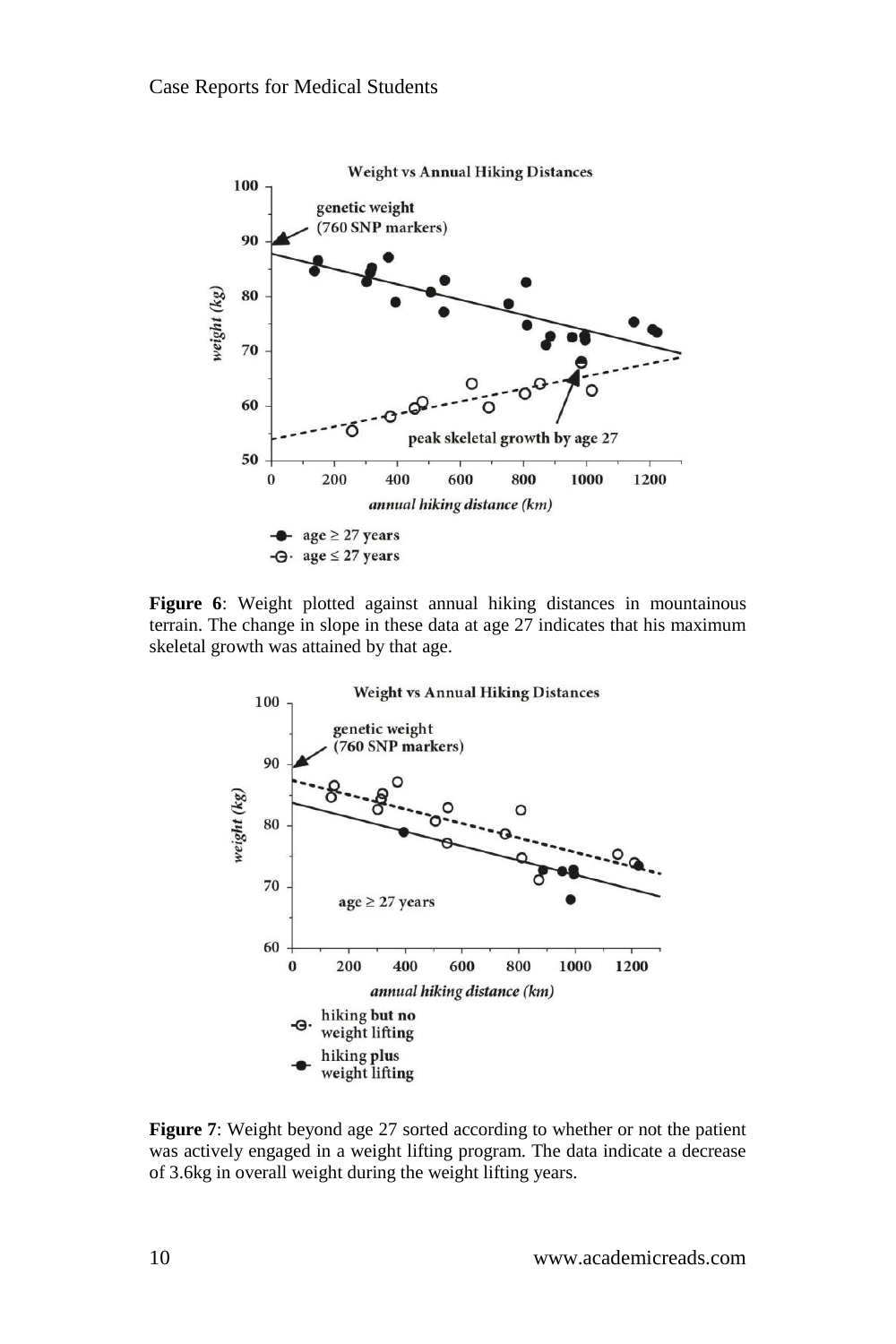

**Figure 6**: Weight plotted against annual hiking distances in mountainous terrain. The change in slope in these data at age 27 indicates that his maximum skeletal growth was attained by that age.



**Figure 7**: Weight beyond age 27 sorted according to whether or not the patient was actively engaged in a weight lifting program. The data indicate a decrease of 3.6kg in overall weight during the weight lifting years.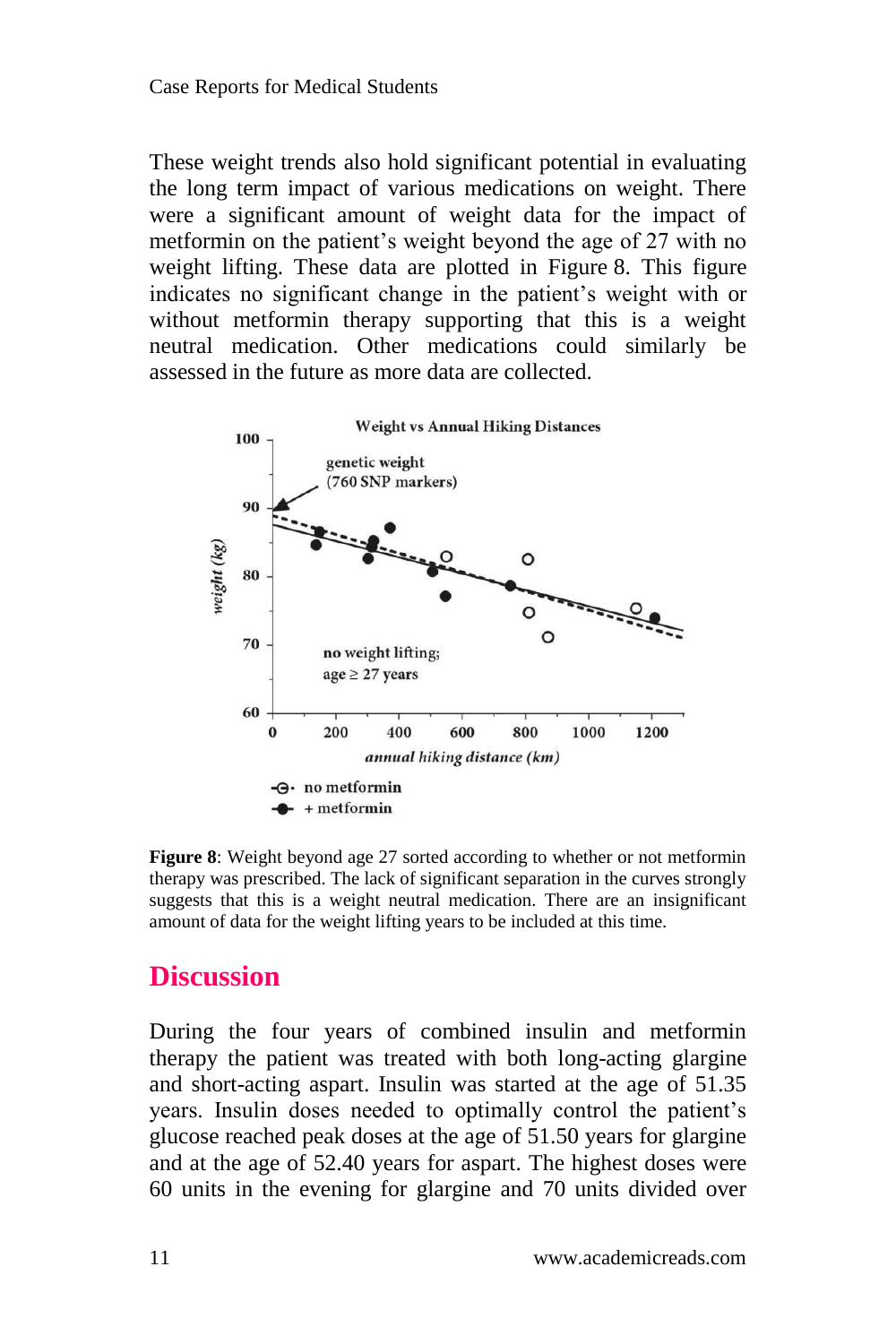These weight trends also hold significant potential in evaluating the long term impact of various medications on weight. There were a significant amount of weight data for the impact of metformin on the patient's weight beyond the age of 27 with no weight lifting. These data are plotted in Figure 8. This figure indicates no significant change in the patient's weight with or without metformin therapy supporting that this is a weight neutral medication. Other medications could similarly be assessed in the future as more data are collected.



**Figure 8**: Weight beyond age 27 sorted according to whether or not metformin therapy was prescribed. The lack of significant separation in the curves strongly suggests that this is a weight neutral medication. There are an insignificant amount of data for the weight lifting years to be included at this time.

### **Discussion**

During the four years of combined insulin and metformin therapy the patient was treated with both long-acting glargine and short-acting aspart. Insulin was started at the age of 51.35 years. Insulin doses needed to optimally control the patient's glucose reached peak doses at the age of 51.50 years for glargine and at the age of 52.40 years for aspart. The highest doses were 60 units in the evening for glargine and 70 units divided over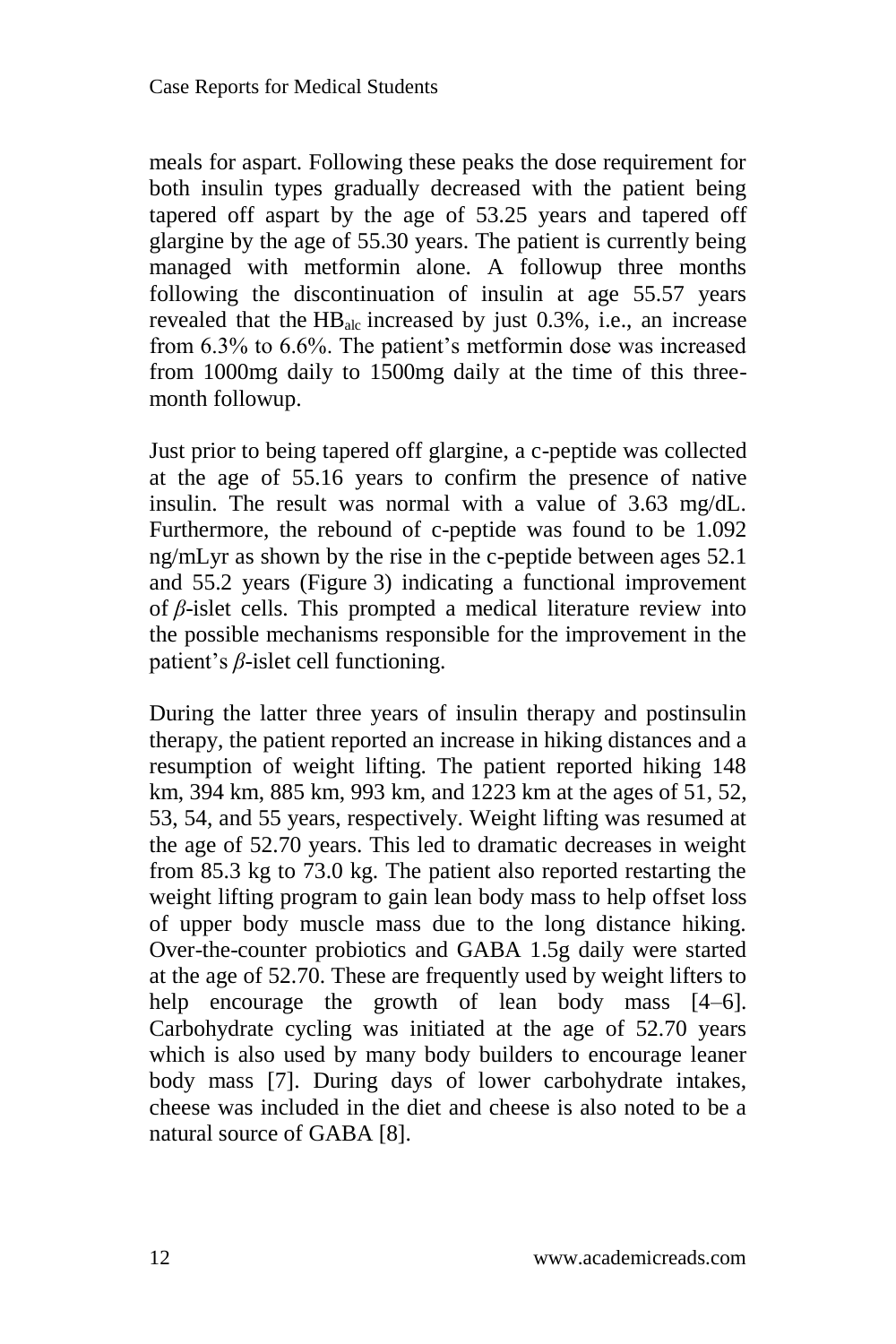meals for aspart. Following these peaks the dose requirement for both insulin types gradually decreased with the patient being tapered off aspart by the age of 53.25 years and tapered off glargine by the age of 55.30 years. The patient is currently being managed with metformin alone. A followup three months following the discontinuation of insulin at age 55.57 years revealed that the  $HB<sub>alc</sub>$  increased by just 0.3%, i.e., an increase from 6.3% to 6.6%. The patient's metformin dose was increased from 1000mg daily to 1500mg daily at the time of this threemonth followup.

Just prior to being tapered off glargine, a c-peptide was collected at the age of 55.16 years to confirm the presence of native insulin. The result was normal with a value of 3.63 mg/dL. Furthermore, the rebound of c-peptide was found to be 1.092 ng/mLyr as shown by the rise in the c-peptide between ages 52.1 and 55.2 years (Figure 3) indicating a functional improvement of *β*-islet cells. This prompted a medical literature review into the possible mechanisms responsible for the improvement in the patient's *β*-islet cell functioning.

During the latter three years of insulin therapy and postinsulin therapy, the patient reported an increase in hiking distances and a resumption of weight lifting. The patient reported hiking 148 km, 394 km, 885 km, 993 km, and 1223 km at the ages of 51, 52, 53, 54, and 55 years, respectively. Weight lifting was resumed at the age of 52.70 years. This led to dramatic decreases in weight from 85.3 kg to 73.0 kg. The patient also reported restarting the weight lifting program to gain lean body mass to help offset loss of upper body muscle mass due to the long distance hiking. Over-the-counter probiotics and GABA 1.5g daily were started at the age of 52.70. These are frequently used by weight lifters to help encourage the growth of lean body mass [4–6]. Carbohydrate cycling was initiated at the age of 52.70 years which is also used by many body builders to encourage leaner body mass [7]. During days of lower carbohydrate intakes, cheese was included in the diet and cheese is also noted to be a natural source of GABA [8].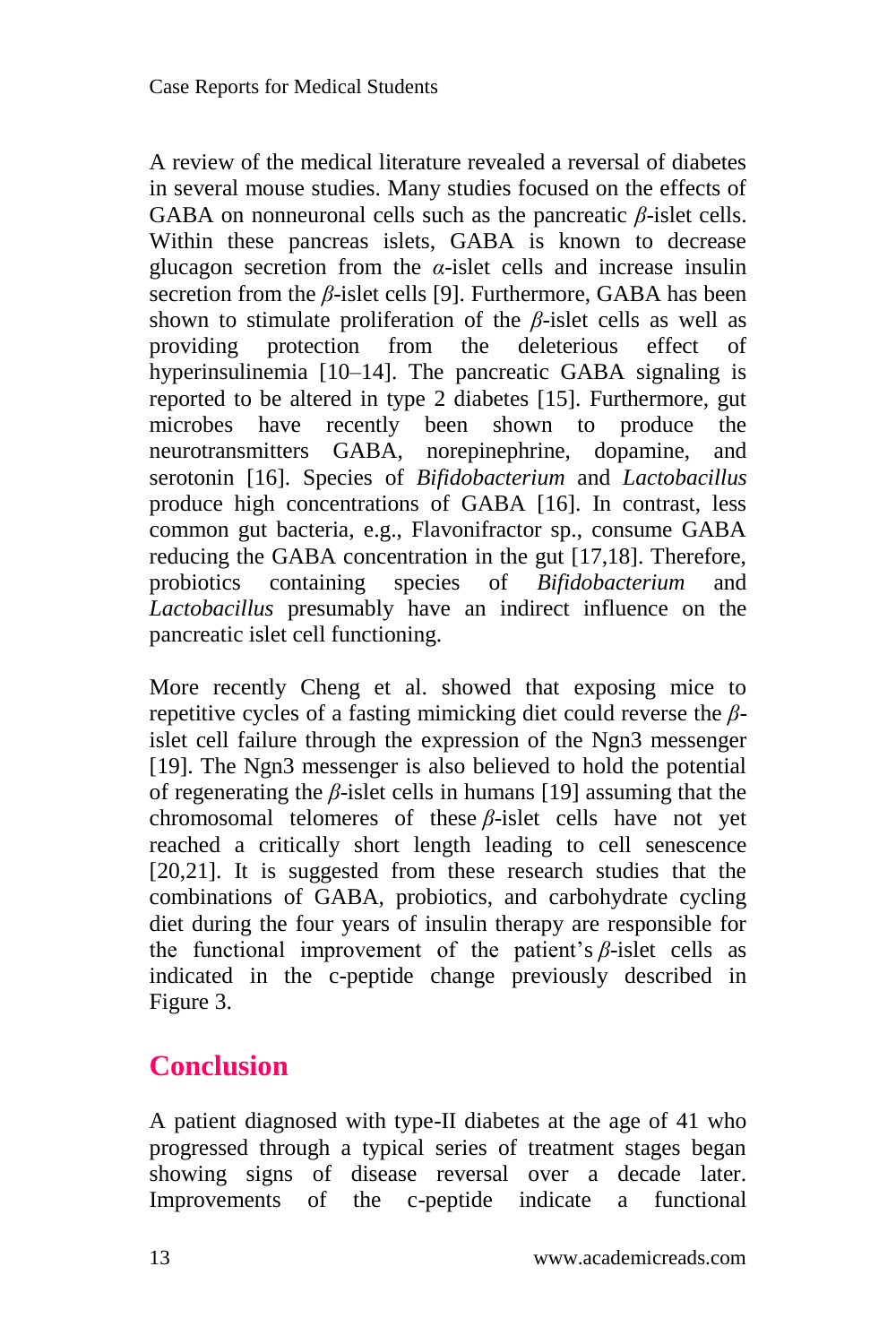A review of the medical literature revealed a reversal of diabetes in several mouse studies. Many studies focused on the effects of GABA on nonneuronal cells such as the pancreatic *β*-islet cells. Within these pancreas islets, GABA is known to decrease glucagon secretion from the *α*-islet cells and increase insulin secretion from the *β*-islet cells [9]. Furthermore, GABA has been shown to stimulate proliferation of the *β*-islet cells as well as providing protection from the deleterious effect of hyperinsulinemia [10–14]. The pancreatic GABA signaling is reported to be altered in type 2 diabetes [15]. Furthermore, gut microbes have recently been shown to produce the neurotransmitters GABA, norepinephrine, dopamine, and serotonin [16]. Species of *Bifidobacterium* and *Lactobacillus* produce high concentrations of GABA [16]. In contrast, less common gut bacteria, e.g., Flavonifractor sp., consume GABA reducing the GABA concentration in the gut [17,18]. Therefore, probiotics containing species of *Bifidobacterium* and *Lactobacillus* presumably have an indirect influence on the pancreatic islet cell functioning.

More recently Cheng et al. showed that exposing mice to repetitive cycles of a fasting mimicking diet could reverse the *β*islet cell failure through the expression of the Ngn3 messenger [19]. The Ngn3 messenger is also believed to hold the potential of regenerating the *β*-islet cells in humans [19] assuming that the chromosomal telomeres of these *β*-islet cells have not yet reached a critically short length leading to cell senescence [20,21]. It is suggested from these research studies that the combinations of GABA, probiotics, and carbohydrate cycling diet during the four years of insulin therapy are responsible for the functional improvement of the patient's *β*-islet cells as indicated in the c-peptide change previously described in Figure 3.

## **Conclusion**

A patient diagnosed with type-II diabetes at the age of 41 who progressed through a typical series of treatment stages began showing signs of disease reversal over a decade later. Improvements of the c-peptide indicate a functional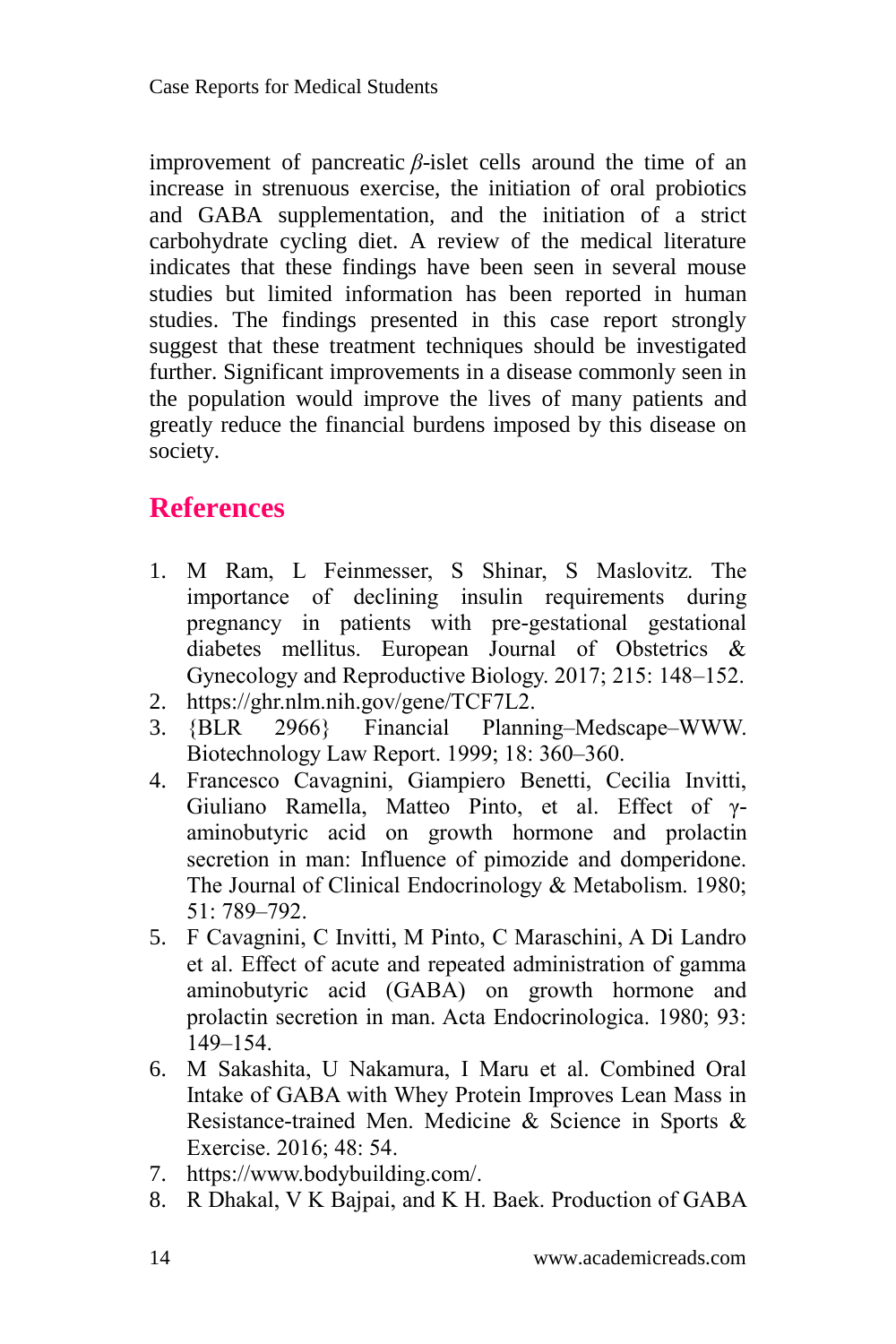improvement of pancreatic *β*-islet cells around the time of an increase in strenuous exercise, the initiation of oral probiotics and GABA supplementation, and the initiation of a strict carbohydrate cycling diet. A review of the medical literature indicates that these findings have been seen in several mouse studies but limited information has been reported in human studies. The findings presented in this case report strongly suggest that these treatment techniques should be investigated further. Significant improvements in a disease commonly seen in the population would improve the lives of many patients and greatly reduce the financial burdens imposed by this disease on society.

### **References**

- 1. M Ram, L Feinmesser, S Shinar, S Maslovitz. The importance of declining insulin requirements during pregnancy in patients with pre-gestational gestational diabetes mellitus. European Journal of Obstetrics & Gynecology and Reproductive Biology. 2017; 215: 148–152.
- 2. https://ghr.nlm.nih.gov/gene/TCF7L2.
- 3. {BLR 2966} Financial Planning–Medscape–WWW. Biotechnology Law Report. 1999; 18: 360–360.
- 4. Francesco Cavagnini, Giampiero Benetti, Cecilia Invitti, Giuliano Ramella, Matteo Pinto, et al. Effect of γaminobutyric acid on growth hormone and prolactin secretion in man: Influence of pimozide and domperidone. The Journal of Clinical Endocrinology & Metabolism. 1980; 51: 789–792.
- 5. F Cavagnini, C Invitti, M Pinto, C Maraschini, A Di Landro et al. Effect of acute and repeated administration of gamma aminobutyric acid (GABA) on growth hormone and prolactin secretion in man. Acta Endocrinologica. 1980; 93: 149–154.
- 6. M Sakashita, U Nakamura, I Maru et al. Combined Oral Intake of GABA with Whey Protein Improves Lean Mass in Resistance-trained Men. Medicine & Science in Sports & Exercise. 2016; 48: 54.
- 7. https://www.bodybuilding.com/.
- 8. R Dhakal, V K Bajpai, and K H. Baek. Production of GABA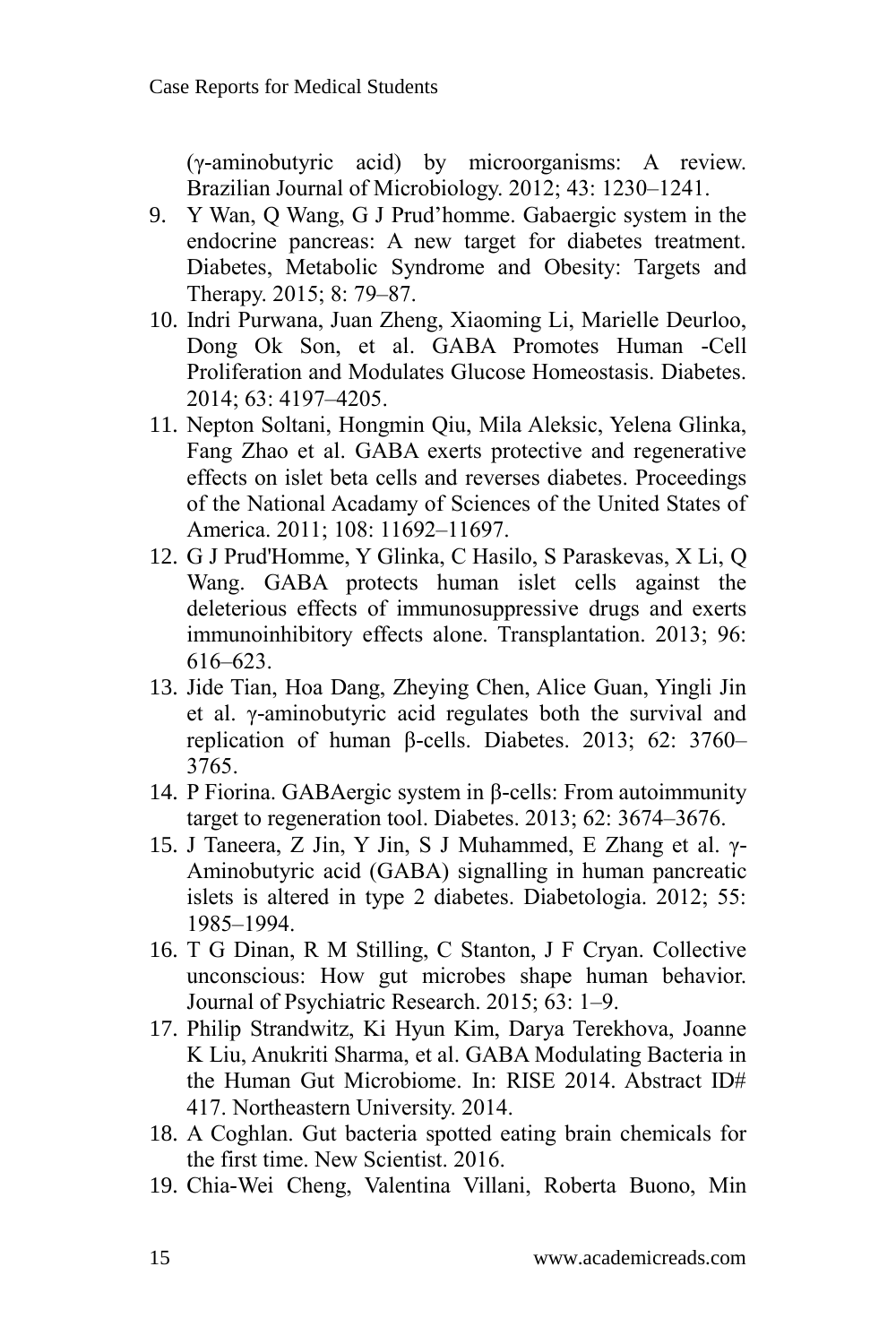(γ-aminobutyric acid) by microorganisms: A review. Brazilian Journal of Microbiology. 2012; 43: 1230–1241.

- 9. Y Wan, Q Wang, G J Prud'homme. Gabaergic system in the endocrine pancreas: A new target for diabetes treatment. Diabetes, Metabolic Syndrome and Obesity: Targets and Therapy. 2015; 8: 79–87.
- 10. Indri Purwana, Juan Zheng, Xiaoming Li, Marielle Deurloo, Dong Ok Son, et al. GABA Promotes Human -Cell Proliferation and Modulates Glucose Homeostasis. Diabetes. 2014; 63: 4197–4205.
- 11. Nepton Soltani, Hongmin Qiu, Mila Aleksic, Yelena Glinka, Fang Zhao et al. GABA exerts protective and regenerative effects on islet beta cells and reverses diabetes. Proceedings of the National Acadamy of Sciences of the United States of America. 2011; 108: 11692–11697.
- 12. G J Prud'Homme, Y Glinka, C Hasilo, S Paraskevas, X Li, Q Wang. GABA protects human islet cells against the deleterious effects of immunosuppressive drugs and exerts immunoinhibitory effects alone. Transplantation. 2013; 96: 616–623.
- 13. Jide Tian, Hoa Dang, Zheying Chen, Alice Guan, Yingli Jin et al. γ-aminobutyric acid regulates both the survival and replication of human β-cells. Diabetes. 2013; 62: 3760– 3765.
- 14. P Fiorina. GABAergic system in β-cells: From autoimmunity target to regeneration tool. Diabetes. 2013; 62: 3674–3676.
- 15. J Taneera, Z Jin, Y Jin, S J Muhammed, E Zhang et al. γ-Aminobutyric acid (GABA) signalling in human pancreatic islets is altered in type 2 diabetes. Diabetologia. 2012; 55: 1985–1994.
- 16. T G Dinan, R M Stilling, C Stanton, J F Cryan. Collective unconscious: How gut microbes shape human behavior. Journal of Psychiatric Research. 2015; 63: 1–9.
- 17. Philip Strandwitz, Ki Hyun Kim, Darya Terekhova, Joanne K Liu, Anukriti Sharma, et al. GABA Modulating Bacteria in the Human Gut Microbiome. In: RISE 2014. Abstract ID# 417. Northeastern University. 2014.
- 18. A Coghlan. Gut bacteria spotted eating brain chemicals for the first time. New Scientist. 2016.
- 19. Chia-Wei Cheng, Valentina Villani, Roberta Buono, Min